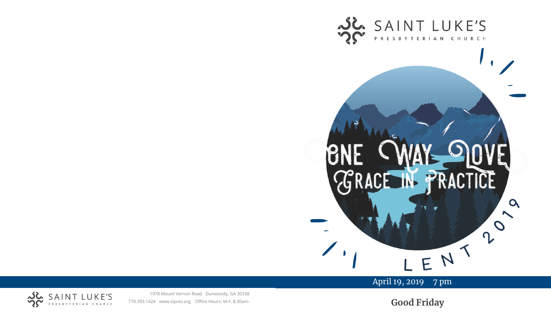

April 19, 2019 7 pm



1978 Mount Vernon Road Dunwoody, GA 30338 770.393.1424 www.slpres.org Office Hours: M -F, 8:30am -

**Good Friday**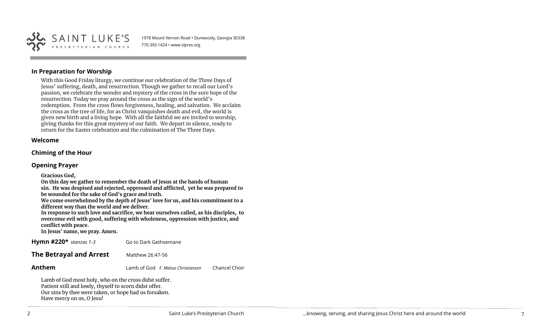

1978 Mount Vernon Road • Dunwoody, Georgia 30338 770.393.1424 • www.slpres.org

## **In Preparation for Worship**

With this Good Friday liturgy, we continue our celebration of the Three Days of Jesus' suffering, death, and resurrection. Though we gather to recall our Lord's passion, we celebrate the wonder and mystery of the cross in the sure hope of the resurrection. Today we pray around the cross as the sign of the world's redemption. From the cross flows forgiveness, healing, and salvation. We acclaim the cross as the tree of life, for as Christ vanquishes death and evil, the world is given new birth and a living hope. With all the faithful we are invited to worship, giving thanks for this great mystery of our faith. We depart in silence, ready to return for the Easter celebration and the culmination of The Three Days.

#### **Welcome**

#### **Chiming of the Hour**

### **Opening Prayer**

**Gracious God,**

**On this day we gather to remember the death of Jesus at the hands of human sin. He was despised and rejected, oppressed and afflicted, yet he was prepared to** 

**be wounded for the sake of God's grace and truth.**

**We come overwhelmed by the depth of Jesus' love for us, and his commitment to a different way than the world and we deliver.**

**In response to such love and sacrifice, we hear ourselves called, as his disciples, to overcome evil with good, suffering with wholeness, oppression with justice, and conflict with peace.**

**In Jesus' name, we pray. Amen.**

**Hymn #220\*** *stanzas 1-3* Go to Dark Gethsemane

**The Betrayal and Arrest Matthew 26:47-56** 

**Anthem** Lamb of God *F. Melius Christiansen* Chancel Choir

Lamb of God most holy, who on the cross didst suffer. Patient still and lowly, thyself to scorn didst offer. Our sins by thee were taken, or hope had us forsaken. Have mercy on us, O Jesu!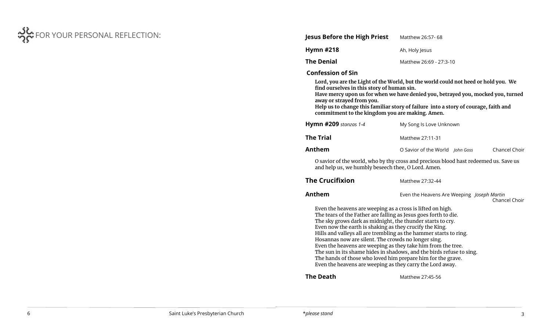

| Jesus Before the High Priest | Matthew 26:57- 68       |  |  |
|------------------------------|-------------------------|--|--|
| Hymn #218                    | Ah, Holy Jesus          |  |  |
| The Denial                   | Matthew 26:69 - 27:3-10 |  |  |
|                              |                         |  |  |

# **Confession of Sin**

| Lord, you are the Light of the World, but the world could not heed or hold you. We<br>find ourselves in this story of human sin.<br>Have mercy upon us for when we have denied you, betrayed you, mocked you, turned<br>away or strayed from you.<br>Help us to change this familiar story of failure into a story of courage, faith and<br>commitment to the kingdom you are making. Amen.                                                                                                                                                                                                                                                            |                                                             |  |  |  |  |  |  |  |
|--------------------------------------------------------------------------------------------------------------------------------------------------------------------------------------------------------------------------------------------------------------------------------------------------------------------------------------------------------------------------------------------------------------------------------------------------------------------------------------------------------------------------------------------------------------------------------------------------------------------------------------------------------|-------------------------------------------------------------|--|--|--|--|--|--|--|
| <b>Hymn #209</b> stanzas 1-4                                                                                                                                                                                                                                                                                                                                                                                                                                                                                                                                                                                                                           | My Song Is Love Unknown                                     |  |  |  |  |  |  |  |
| <b>The Trial</b>                                                                                                                                                                                                                                                                                                                                                                                                                                                                                                                                                                                                                                       | Matthew 27:11-31                                            |  |  |  |  |  |  |  |
| Anthem                                                                                                                                                                                                                                                                                                                                                                                                                                                                                                                                                                                                                                                 | Chancel Choir<br>O Savior of the World John Goss            |  |  |  |  |  |  |  |
| O savior of the world, who by thy cross and precious blood hast redeemed us. Save us<br>and help us, we humbly beseech thee, O Lord. Amen.                                                                                                                                                                                                                                                                                                                                                                                                                                                                                                             |                                                             |  |  |  |  |  |  |  |
| <b>The Crucifixion</b>                                                                                                                                                                                                                                                                                                                                                                                                                                                                                                                                                                                                                                 | Matthew 27:32-44                                            |  |  |  |  |  |  |  |
| Anthem                                                                                                                                                                                                                                                                                                                                                                                                                                                                                                                                                                                                                                                 | Even the Heavens Are Weeping Joseph Martin<br>Chancel Choir |  |  |  |  |  |  |  |
| Even the heavens are weeping as a cross is lifted on high.<br>The tears of the Father are falling as Jesus goes forth to die.<br>The sky grows dark as midnight, the thunder starts to cry.<br>Even now the earth is shaking as they crucify the King.<br>Hills and valleys all are trembling as the hammer starts to ring.<br>Hosannas now are silent. The crowds no longer sing.<br>Even the heavens are weeping as they take him from the tree.<br>The sun in its shame hides in shadows, and the birds refuse to sing.<br>The hands of those who loved him prepare him for the grave.<br>Even the heavens are weeping as they carry the Lord away. |                                                             |  |  |  |  |  |  |  |
| <b>The Death</b>                                                                                                                                                                                                                                                                                                                                                                                                                                                                                                                                                                                                                                       | Matthew 27:45-56                                            |  |  |  |  |  |  |  |